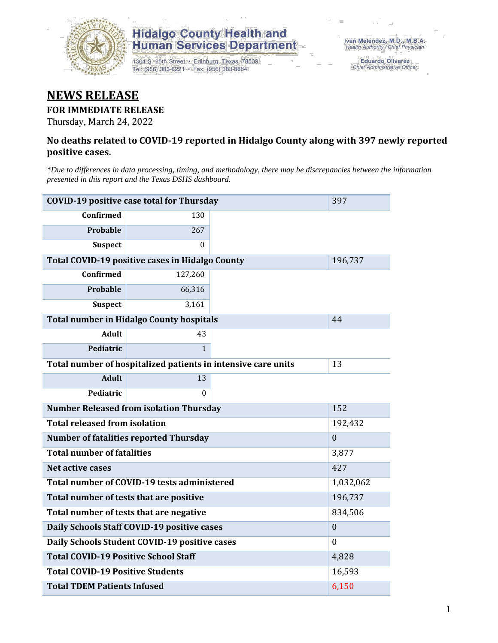

1304 S. 25th Street · Edinburg, Texas 78539 Tel: (956) 383-6221 · Fax: (956) 383-8864

**Eduardo Olivarez** Chief Administrative Officer

## **NEWS RELEASE**

#### **FOR IMMEDIATE RELEASE**

Thursday, March 24, 2022

#### **No deaths related to COVID-19 reported in Hidalgo County along with 397 newly reported positive cases.**

*\*Due to differences in data processing, timing, and methodology, there may be discrepancies between the information presented in this report and the Texas DSHS dashboard.*

| <b>COVID-19 positive case total for Thursday</b>              | 397                                             |              |           |
|---------------------------------------------------------------|-------------------------------------------------|--------------|-----------|
| <b>Confirmed</b>                                              | 130                                             |              |           |
| <b>Probable</b>                                               | 267                                             |              |           |
| <b>Suspect</b>                                                | $\Omega$                                        |              |           |
|                                                               | Total COVID-19 positive cases in Hidalgo County |              | 196,737   |
| <b>Confirmed</b>                                              | 127,260                                         |              |           |
| Probable                                                      | 66,316                                          |              |           |
| <b>Suspect</b>                                                | 3,161                                           |              |           |
|                                                               | <b>Total number in Hidalgo County hospitals</b> |              | 44        |
| <b>Adult</b>                                                  | 43                                              |              |           |
| Pediatric                                                     | $\mathbf{1}$                                    |              |           |
| Total number of hospitalized patients in intensive care units | 13                                              |              |           |
| <b>Adult</b>                                                  | 13                                              |              |           |
| Pediatric                                                     | 0                                               |              |           |
| <b>Number Released from isolation Thursday</b>                |                                                 | 152          |           |
| <b>Total released from isolation</b>                          |                                                 | 192,432      |           |
| <b>Number of fatalities reported Thursday</b>                 |                                                 | $\theta$     |           |
| <b>Total number of fatalities</b>                             |                                                 | 3,877        |           |
| Net active cases                                              |                                                 |              | 427       |
|                                                               | Total number of COVID-19 tests administered     |              | 1,032,062 |
| Total number of tests that are positive                       |                                                 | 196,737      |           |
| Total number of tests that are negative                       |                                                 | 834,506      |           |
| Daily Schools Staff COVID-19 positive cases                   |                                                 | $\mathbf{0}$ |           |
| Daily Schools Student COVID-19 positive cases                 |                                                 | $\Omega$     |           |
| <b>Total COVID-19 Positive School Staff</b>                   |                                                 |              | 4,828     |
| <b>Total COVID-19 Positive Students</b>                       |                                                 |              | 16,593    |
| <b>Total TDEM Patients Infused</b>                            | 6,150                                           |              |           |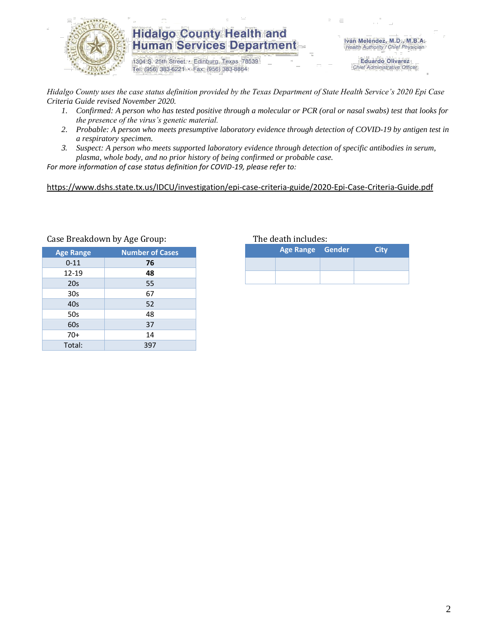

1304 S. 25th Street · Edinburg, Texas 78539 Tel: (956) 383-6221 · Fax: (956) 383-8864

Iván Meléndez, M.D., M.B.A. Health Authority / Chief Physician

> **Eduardo Olivarez** Chief Administrative Officer

*Hidalgo County uses the case status definition provided by the Texas Department of State Health Service's 2020 Epi Case Criteria Guide revised November 2020.*

- *1. Confirmed: A person who has tested positive through a molecular or PCR (oral or nasal swabs) test that looks for the presence of the virus's genetic material.*
- *2. Probable: A person who meets presumptive laboratory evidence through detection of COVID-19 by antigen test in a respiratory specimen.*
- *3. Suspect: A person who meets supported laboratory evidence through detection of specific antibodies in serum, plasma, whole body, and no prior history of being confirmed or probable case.*

*For more information of case status definition for COVID-19, please refer to:*

<https://www.dshs.state.tx.us/IDCU/investigation/epi-case-criteria-guide/2020-Epi-Case-Criteria-Guide.pdf>

| <b>Age Range</b> | <b>Number of Cases</b> |
|------------------|------------------------|
| $0 - 11$         | 76                     |
| 12-19            | 48                     |
| 20s              | 55                     |
| 30 <sub>s</sub>  | 67                     |
| 40s              | 52                     |
| 50s              | 48                     |
| 60s              | 37                     |
| $70+$            | 14                     |
| Total:           | 397                    |

#### Case Breakdown by Age Group: The death includes:

| <b>Age Range</b> | <b>Number of Cases</b> |
|------------------|------------------------|
| $0 - 11$         |                        |
| $12 - 19$        | 48                     |
| 20c              |                        |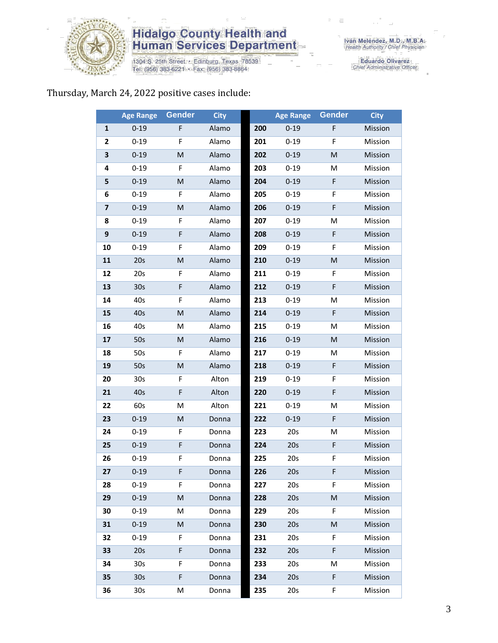

1304 S. 25th Street • Edinburg, Texas 78539<br>Tel: (956) 383-6221 • Fax: (956) 383-8864

Eduardo Olivarez<br>Chief Administrative Officer

#### Thursday, March 24, 2022 positive cases include:

|                         | <b>Age Range</b> | <b>Gender</b> | <b>City</b> |     | <b>Age Range</b> | <b>Gender</b> | <b>City</b> |
|-------------------------|------------------|---------------|-------------|-----|------------------|---------------|-------------|
| 1                       | $0 - 19$         | F             | Alamo       | 200 | $0 - 19$         | F             | Mission     |
| $\overline{\mathbf{2}}$ | $0 - 19$         | F             | Alamo       | 201 | $0 - 19$         | F             | Mission     |
| 3                       | $0 - 19$         | M             | Alamo       | 202 | $0 - 19$         | M             | Mission     |
| 4                       | $0 - 19$         | F             | Alamo       | 203 | $0 - 19$         | M             | Mission     |
| 5                       | $0 - 19$         | ${\sf M}$     | Alamo       | 204 | $0 - 19$         | F             | Mission     |
| 6                       | $0 - 19$         | F             | Alamo       | 205 | $0 - 19$         | F             | Mission     |
| $\overline{\mathbf{z}}$ | $0 - 19$         | ${\sf M}$     | Alamo       | 206 | $0 - 19$         | F             | Mission     |
| 8                       | $0 - 19$         | F             | Alamo       | 207 | $0 - 19$         | M             | Mission     |
| 9                       | $0 - 19$         | F             | Alamo       | 208 | $0 - 19$         | F             | Mission     |
| 10                      | $0 - 19$         | F             | Alamo       | 209 | $0 - 19$         | F             | Mission     |
| 11                      | 20s              | M             | Alamo       | 210 | $0 - 19$         | M             | Mission     |
| 12                      | 20s              | F             | Alamo       | 211 | $0 - 19$         | F             | Mission     |
| 13                      | 30s              | F             | Alamo       | 212 | $0 - 19$         | F             | Mission     |
| 14                      | 40s              | F             | Alamo       | 213 | $0 - 19$         | M             | Mission     |
| 15                      | 40s              | ${\sf M}$     | Alamo       | 214 | $0 - 19$         | $\mathsf F$   | Mission     |
| 16                      | 40s              | M             | Alamo       | 215 | $0 - 19$         | M             | Mission     |
| 17                      | 50s              | ${\sf M}$     | Alamo       | 216 | $0 - 19$         | M             | Mission     |
| 18                      | 50s              | F             | Alamo       | 217 | $0 - 19$         | M             | Mission     |
| 19                      | 50s              | M             | Alamo       | 218 | $0 - 19$         | F             | Mission     |
| 20                      | 30 <sub>s</sub>  | F             | Alton       | 219 | $0 - 19$         | F             | Mission     |
| 21                      | 40s              | F             | Alton       | 220 | $0 - 19$         | F             | Mission     |
| 22                      | 60s              | M             | Alton       | 221 | $0 - 19$         | M             | Mission     |
| 23                      | $0 - 19$         | M             | Donna       | 222 | $0 - 19$         | F             | Mission     |
| 24                      | $0 - 19$         | F             | Donna       | 223 | 20s              | M             | Mission     |
| 25                      | $0 - 19$         | F             | Donna       | 224 | 20s              | F             | Mission     |
| 26                      | $0 - 19$         | F             | Donna       | 225 | 20s              | F             | Mission     |
| 27                      | $0 - 19$         | F             | Donna       | 226 | 20s              | F             | Mission     |
| 28                      | $0 - 19$         | F.            | Donna       | 227 | 20s              | F.            | Mission     |
| 29                      | $0 - 19$         | M             | Donna       | 228 | 20s              | M             | Mission     |
| 30                      | $0 - 19$         | М             | Donna       | 229 | 20s              | F             | Mission     |
| 31                      | $0 - 19$         | M             | Donna       | 230 | 20s              | M             | Mission     |
| 32                      | $0 - 19$         | F             | Donna       | 231 | 20s              | F             | Mission     |
| 33                      | 20s              | F             | Donna       | 232 | 20s              | F             | Mission     |
| 34                      | 30 <sub>s</sub>  | F             | Donna       | 233 | 20s              | M             | Mission     |
| 35                      | 30 <sub>s</sub>  | F             | Donna       | 234 | 20s              | F             | Mission     |
| 36                      | 30 <sub>s</sub>  | м             | Donna       | 235 | 20s              | F             | Mission     |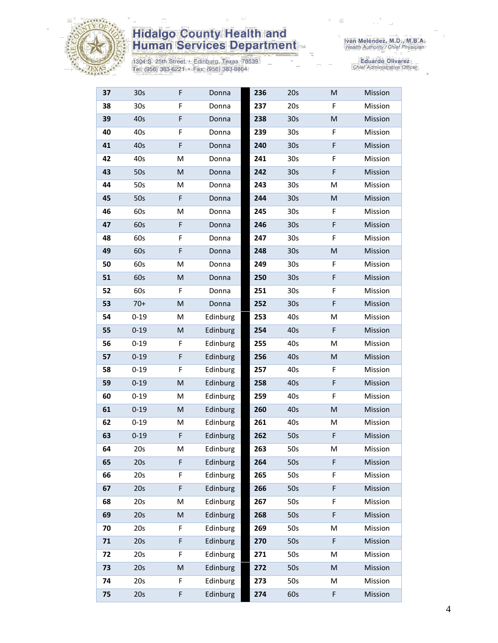

1304 S. 25th Street • Edinburg, Texas 78539<br>Tel: (956) 383-6221 • Fax: (956) 383-8864

Iván Meléndez, M.D., M.B.A.<br>Health Authority / Chief Physician

| 37 | 30 <sub>s</sub> | F  | Donna    | 236 | 20s             | M | Mission        |
|----|-----------------|----|----------|-----|-----------------|---|----------------|
| 38 | 30 <sub>s</sub> | F  | Donna    | 237 | 20s             | F | Mission        |
| 39 | 40s             | F  | Donna    | 238 | 30 <sub>s</sub> | M | Mission        |
| 40 | 40s             | F  | Donna    | 239 | 30 <sub>s</sub> | F | Mission        |
| 41 | 40s             | F  | Donna    | 240 | 30 <sub>s</sub> | F | Mission        |
| 42 | 40s             | M  | Donna    | 241 | 30 <sub>s</sub> | F | Mission        |
| 43 | 50s             | M  | Donna    | 242 | 30 <sub>s</sub> | F | Mission        |
| 44 | 50s             | M  | Donna    | 243 | 30 <sub>s</sub> | M | Mission        |
| 45 | 50s             | F  | Donna    | 244 | 30 <sub>s</sub> | M | Mission        |
| 46 | 60s             | M  | Donna    | 245 | 30 <sub>s</sub> | F | Mission        |
| 47 | 60s             | F  | Donna    | 246 | 30 <sub>s</sub> | F | Mission        |
| 48 | 60s             | F  | Donna    | 247 | 30 <sub>s</sub> | F | Mission        |
| 49 | 60s             | F  | Donna    | 248 | 30 <sub>s</sub> | M | Mission        |
| 50 | 60s             | M  | Donna    | 249 | 30 <sub>s</sub> | F | Mission        |
| 51 | 60s             | M  | Donna    | 250 | 30 <sub>s</sub> | F | <b>Mission</b> |
| 52 | 60s             | F. | Donna    | 251 | 30 <sub>s</sub> | F | Mission        |
| 53 | $70+$           | M  | Donna    | 252 | 30 <sub>s</sub> | F | Mission        |
| 54 | $0 - 19$        | M  | Edinburg | 253 | 40s             | M | Mission        |
| 55 | $0 - 19$        | M  | Edinburg | 254 | 40s             | F | Mission        |
| 56 | $0 - 19$        | F  | Edinburg | 255 | 40s             | M | Mission        |
| 57 | $0 - 19$        | F  | Edinburg | 256 | 40s             | M | Mission        |
| 58 | $0 - 19$        | F  | Edinburg | 257 | 40s             | F | Mission        |
| 59 | $0 - 19$        | M  | Edinburg | 258 | 40s             | F | Mission        |
| 60 | $0 - 19$        | M  | Edinburg | 259 | 40s             | F | Mission        |
| 61 | $0 - 19$        | M  | Edinburg | 260 | 40s             | M | <b>Mission</b> |
| 62 | $0 - 19$        | M  | Edinburg | 261 | 40s             | M | Mission        |
| 63 | $0 - 19$        | F  | Edinburg | 262 | 50s             | F | Mission        |
| 64 | 20s             | M  | Edinburg | 263 | 50s             | M | Mission        |
| 65 | 20s             | F  | Edinburg | 264 | 50s             | F | Mission        |
| 66 | 20s             | F  | Edinburg | 265 | 50s             | F | Mission        |
| 67 | 20s             | F  | Edinburg | 266 | 50s             | F | Mission        |
| 68 | 20s             | M  | Edinburg | 267 | 50s             | F | Mission        |
| 69 | 20s             | M  | Edinburg | 268 | 50s             | F | Mission        |
| 70 | 20s             | F  | Edinburg | 269 | 50s             | M | Mission        |
| 71 | 20s             | F  | Edinburg | 270 | 50s             | F | Mission        |
| 72 | 20s             | F  | Edinburg | 271 | 50s             | M | Mission        |
| 73 | 20s             | M  | Edinburg | 272 | 50s             | M | Mission        |
| 74 | 20s             | F  | Edinburg | 273 | 50s             | M | Mission        |
| 75 | 20s             | F  | Edinburg | 274 | 60s             | F | Mission        |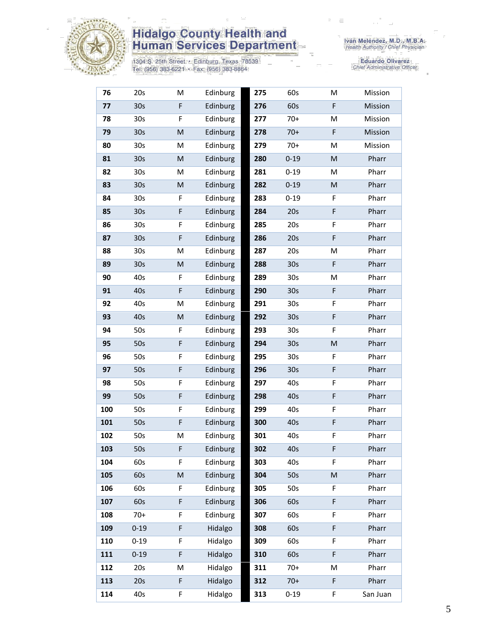

1304 S. 25th Street • Edinburg, Texas 78539<br>Tel: (956) 383-6221 • Fax: (956) 383-8864

| 76  | 20s             | M         | Edinburg | 275 | 60s             | M           | Mission  |
|-----|-----------------|-----------|----------|-----|-----------------|-------------|----------|
| 77  | 30 <sub>s</sub> | F         | Edinburg | 276 | 60s             | F           | Mission  |
| 78  | 30 <sub>s</sub> | F         | Edinburg | 277 | $70+$           | M           | Mission  |
| 79  | 30 <sub>s</sub> | M         | Edinburg | 278 | $70+$           | F           | Mission  |
| 80  | 30 <sub>s</sub> | M         | Edinburg | 279 | $70+$           | M           | Mission  |
| 81  | 30 <sub>s</sub> | M         | Edinburg | 280 | $0 - 19$        | ${\sf M}$   | Pharr    |
| 82  | 30 <sub>s</sub> | M         | Edinburg | 281 | $0 - 19$        | м           | Pharr    |
| 83  | 30 <sub>s</sub> | M         | Edinburg | 282 | $0 - 19$        | M           | Pharr    |
| 84  | 30 <sub>s</sub> | F         | Edinburg | 283 | $0 - 19$        | F           | Pharr    |
| 85  | 30 <sub>s</sub> | F         | Edinburg | 284 | 20s             | $\mathsf F$ | Pharr    |
| 86  | 30 <sub>s</sub> | F         | Edinburg | 285 | 20s             | F           | Pharr    |
| 87  | 30s             | F         | Edinburg | 286 | 20s             | $\mathsf F$ | Pharr    |
| 88  | 30s             | M         | Edinburg | 287 | 20s             | M           | Pharr    |
| 89  | 30 <sub>s</sub> | M         | Edinburg | 288 | 30 <sub>s</sub> | F           | Pharr    |
| 90  | 40s             | F         | Edinburg | 289 | 30 <sub>s</sub> | M           | Pharr    |
| 91  | 40s             | F         | Edinburg | 290 | 30 <sub>s</sub> | F           | Pharr    |
| 92  | 40s             | M         | Edinburg | 291 | 30 <sub>s</sub> | F           | Pharr    |
| 93  | 40s             | M         | Edinburg | 292 | 30 <sub>s</sub> | $\mathsf F$ | Pharr    |
| 94  | 50s             | F         | Edinburg | 293 | 30 <sub>s</sub> | F           | Pharr    |
| 95  | 50s             | F         | Edinburg | 294 | 30 <sub>s</sub> | ${\sf M}$   | Pharr    |
| 96  | 50s             | F         | Edinburg | 295 | 30 <sub>s</sub> | F           | Pharr    |
| 97  | 50s             | F         | Edinburg | 296 | 30 <sub>s</sub> | $\mathsf F$ | Pharr    |
| 98  | 50s             | F         | Edinburg | 297 | 40s             | F           | Pharr    |
| 99  | 50s             | F         | Edinburg | 298 | 40s             | $\mathsf F$ | Pharr    |
| 100 | 50s             | F         | Edinburg | 299 | 40s             | F           | Pharr    |
| 101 | 50s             | F         | Edinburg | 300 | 40s             | $\mathsf F$ | Pharr    |
| 102 | 50s             | M         | Edinburg | 301 | 40s             | $\mathsf F$ | Pharr    |
| 103 | 50s             | F         | Edinburg | 302 | 40s             | F           | Pharr    |
| 104 | 60s             | F         | Edinburg | 303 | 40s             | F           | Pharr    |
| 105 | 60s             | ${\sf M}$ | Edinburg | 304 | 50s             | ${\sf M}$   | Pharr    |
| 106 | 60s             | F         | Edinburg | 305 | 50s             | F           | Pharr    |
| 107 | 60s             | F         | Edinburg | 306 | 60s             | $\mathsf F$ | Pharr    |
| 108 | $70+$           | F         | Edinburg | 307 | 60s             | F           | Pharr    |
| 109 | $0 - 19$        | F         | Hidalgo  | 308 | 60s             | $\mathsf F$ | Pharr    |
| 110 | $0 - 19$        | F         | Hidalgo  | 309 | 60s             | F           | Pharr    |
| 111 | $0 - 19$        | F         | Hidalgo  | 310 | 60s             | F           | Pharr    |
| 112 | 20s             | M         | Hidalgo  | 311 | $70+$           | M           | Pharr    |
| 113 | 20s             | F         | Hidalgo  | 312 | $70+$           | F           | Pharr    |
| 114 | 40s             | F         | Hidalgo  | 313 | $0 - 19$        | F           | San Juan |
|     |                 |           |          |     |                 |             |          |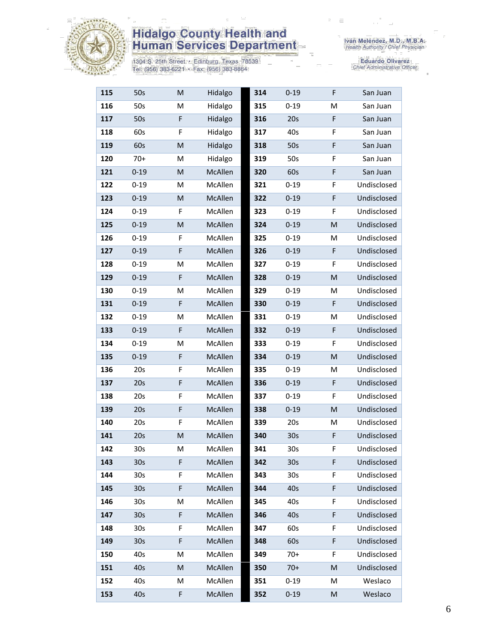

1304 S. 25th Street • Edinburg, Texas 78539<br>Tel: (956) 383-6221 • Fax: (956) 383-8864

| 115 | 50s             | M         | Hidalgo | 314 | $0 - 19$        | F           | San Juan    |
|-----|-----------------|-----------|---------|-----|-----------------|-------------|-------------|
| 116 | 50s             | M         | Hidalgo | 315 | $0 - 19$        | M           | San Juan    |
| 117 | 50s             | F         | Hidalgo | 316 | 20s             | F           | San Juan    |
| 118 | 60s             | F         | Hidalgo | 317 | 40s             | F           | San Juan    |
| 119 | 60s             | M         | Hidalgo | 318 | 50s             | F           | San Juan    |
| 120 | $70+$           | M         | Hidalgo | 319 | 50s             | F           | San Juan    |
| 121 | $0 - 19$        | ${\sf M}$ | McAllen | 320 | 60s             | $\mathsf F$ | San Juan    |
| 122 | $0 - 19$        | M         | McAllen | 321 | $0 - 19$        | F           | Undisclosed |
| 123 | $0 - 19$        | M         | McAllen | 322 | $0 - 19$        | F           | Undisclosed |
| 124 | $0 - 19$        | F         | McAllen | 323 | $0 - 19$        | F           | Undisclosed |
| 125 | $0 - 19$        | M         | McAllen | 324 | $0 - 19$        | M           | Undisclosed |
| 126 | $0 - 19$        | F         | McAllen | 325 | $0 - 19$        | M           | Undisclosed |
| 127 | $0 - 19$        | F         | McAllen | 326 | $0 - 19$        | F           | Undisclosed |
| 128 | $0 - 19$        | M         | McAllen | 327 | $0 - 19$        | F           | Undisclosed |
| 129 | $0 - 19$        | F         | McAllen | 328 | $0 - 19$        | M           | Undisclosed |
| 130 | $0 - 19$        | M         | McAllen | 329 | $0 - 19$        | M           | Undisclosed |
| 131 | $0 - 19$        | F         | McAllen | 330 | $0 - 19$        | F           | Undisclosed |
| 132 | $0 - 19$        | м         | McAllen | 331 | $0 - 19$        | M           | Undisclosed |
| 133 | $0 - 19$        | F         | McAllen | 332 | $0 - 19$        | F           | Undisclosed |
| 134 | $0 - 19$        | M         | McAllen | 333 | $0 - 19$        | F           | Undisclosed |
| 135 | $0 - 19$        | F         | McAllen | 334 | $0 - 19$        | M           | Undisclosed |
| 136 | 20s             | F         | McAllen | 335 | $0 - 19$        | M           | Undisclosed |
| 137 | 20s             | F         | McAllen | 336 | $0 - 19$        | $\mathsf F$ | Undisclosed |
| 138 | 20s             | F         | McAllen | 337 | $0 - 19$        | F           | Undisclosed |
| 139 | 20s             | F         | McAllen | 338 | $0 - 19$        | M           | Undisclosed |
| 140 | 20s             | F         | McAllen | 339 | 20s             | M           | Undisclosed |
| 141 | 20s             | ${\sf M}$ | McAllen | 340 | 30 <sub>s</sub> | F           | Undisclosed |
| 142 | 30 <sub>s</sub> | M         | McAllen | 341 | 30s             | F           | Undisclosed |
| 143 | 30 <sub>s</sub> | F         | McAllen | 342 | 30 <sub>s</sub> | F           | Undisclosed |
| 144 | 30 <sub>s</sub> | F         | McAllen | 343 | 30 <sub>s</sub> | F           | Undisclosed |
| 145 | 30 <sub>s</sub> | F         | McAllen | 344 | 40s             | $\mathsf F$ | Undisclosed |
| 146 | 30 <sub>s</sub> | M         | McAllen | 345 | 40s             | F           | Undisclosed |
| 147 | 30 <sub>s</sub> | F         | McAllen | 346 | 40s             | F           | Undisclosed |
| 148 | 30 <sub>s</sub> | F         | McAllen | 347 | 60s             | F           | Undisclosed |
| 149 | 30 <sub>s</sub> | F         | McAllen | 348 | 60s             | F           | Undisclosed |
| 150 | 40s             | M         | McAllen | 349 | $70+$           | F           | Undisclosed |
| 151 | 40s             | M         | McAllen | 350 | $70+$           | M           | Undisclosed |
| 152 | 40s             | M         | McAllen | 351 | $0 - 19$        | M           | Weslaco     |
| 153 | 40s             | F         | McAllen | 352 | $0 - 19$        | M           | Weslaco     |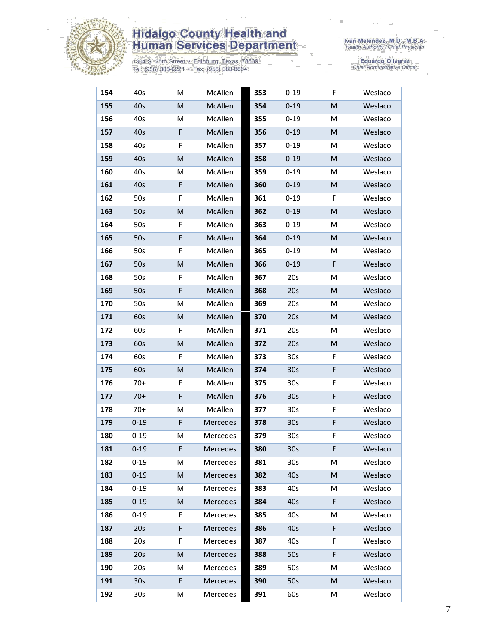

1304 S. 25th Street • Edinburg, Texas 78539<br>Tel: (956) 383-6221 • Fax: (956) 383-8864

Iván Meléndez, M.D., M.B.A.<br>Health Authority / Chief Physician

| 154 | 40s             | M | McAllen         | 353 | $0 - 19$        | F           | Weslaco |
|-----|-----------------|---|-----------------|-----|-----------------|-------------|---------|
| 155 | 40s             | M | McAllen         | 354 | $0 - 19$        | M           | Weslaco |
| 156 | 40s             | M | McAllen         | 355 | $0 - 19$        | M           | Weslaco |
| 157 | 40s             | F | McAllen         | 356 | $0 - 19$        | M           | Weslaco |
| 158 | 40s             | F | McAllen         | 357 | $0 - 19$        | м           | Weslaco |
| 159 | 40s             | M | McAllen         | 358 | $0 - 19$        | M           | Weslaco |
| 160 | 40s             | M | McAllen         | 359 | $0 - 19$        | M           | Weslaco |
| 161 | 40s             | F | McAllen         | 360 | $0 - 19$        | M           | Weslaco |
| 162 | 50s             | F | McAllen         | 361 | $0 - 19$        | F           | Weslaco |
| 163 | 50s             | M | McAllen         | 362 | $0 - 19$        | M           | Weslaco |
| 164 | 50s             | F | McAllen         | 363 | $0 - 19$        | M           | Weslaco |
| 165 | 50s             | F | McAllen         | 364 | $0 - 19$        | M           | Weslaco |
| 166 | 50s             | F | McAllen         | 365 | $0 - 19$        | M           | Weslaco |
| 167 | 50s             | M | McAllen         | 366 | $0 - 19$        | F           | Weslaco |
| 168 | 50s             | F | McAllen         | 367 | 20s             | M           | Weslaco |
| 169 | 50s             | F | McAllen         | 368 | 20s             | M           | Weslaco |
| 170 | 50s             | M | McAllen         | 369 | 20s             | м           | Weslaco |
| 171 | 60s             | M | McAllen         | 370 | 20s             | M           | Weslaco |
| 172 | 60s             | F | McAllen         | 371 | 20s             | M           | Weslaco |
| 173 | 60s             | M | McAllen         | 372 | 20s             | M           | Weslaco |
| 174 | 60s             | F | McAllen         | 373 | 30 <sub>s</sub> | F           | Weslaco |
| 175 | 60s             | M | McAllen         | 374 | 30 <sub>s</sub> | $\mathsf F$ | Weslaco |
| 176 | $70+$           | F | McAllen         | 375 | 30 <sub>s</sub> | F           | Weslaco |
| 177 | $70+$           | F | McAllen         | 376 | 30 <sub>s</sub> | $\mathsf F$ | Weslaco |
| 178 | $70+$           | M | McAllen         | 377 | 30 <sub>s</sub> | F           | Weslaco |
| 179 | $0 - 19$        | F | Mercedes        | 378 | 30 <sub>s</sub> | $\mathsf F$ | Weslaco |
| 180 | $0 - 19$        | M | Mercedes        | 379 | 30 <sub>s</sub> | F           | Weslaco |
| 181 | $0 - 19$        | F | <b>Mercedes</b> | 380 | 30s             | F           | Weslaco |
| 182 | $0 - 19$        | M | Mercedes        | 381 | 30 <sub>s</sub> | м           | Weslaco |
| 183 | $0 - 19$        | M | Mercedes        | 382 | 40s             | M           | Weslaco |
| 184 | $0 - 19$        | M | Mercedes        | 383 | 40s             | M           | Weslaco |
| 185 | $0 - 19$        | M | Mercedes        | 384 | 40s             | F           | Weslaco |
| 186 | $0 - 19$        | F | Mercedes        | 385 | 40s             | M           | Weslaco |
| 187 | 20s             | F | Mercedes        | 386 | 40s             | F           | Weslaco |
| 188 | 20s             | F | Mercedes        | 387 | 40s             | F           | Weslaco |
| 189 | 20s             | M | Mercedes        | 388 | 50s             | $\mathsf F$ | Weslaco |
| 190 | 20s             | M | Mercedes        | 389 | 50s             | M           | Weslaco |
| 191 | 30 <sub>s</sub> | F | Mercedes        | 390 | 50s             | M           | Weslaco |
| 192 | 30 <sub>s</sub> | M | Mercedes        | 391 | 60s             | M           | Weslaco |